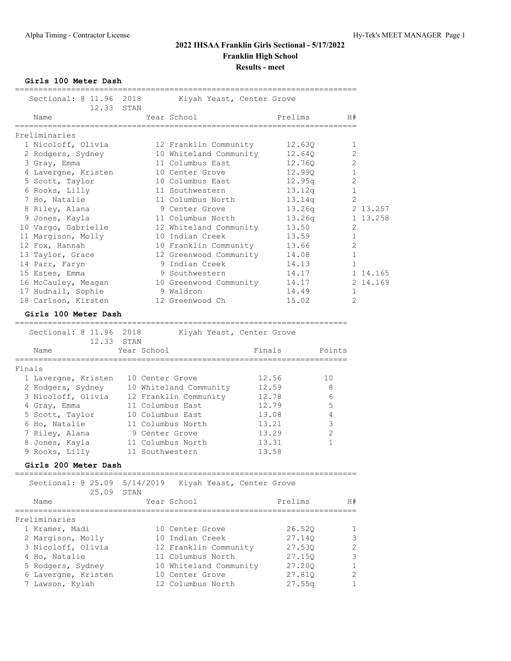**Girls 100 Meter Dash**

| Sectional: @ 11.96                      | 2018<br>Kiyah Yeast, Center Grove         | ___________________________         |                |
|-----------------------------------------|-------------------------------------------|-------------------------------------|----------------|
| 12.33                                   | STAN                                      |                                     |                |
| Name<br>=============                   | Year School                               | Prelims                             | H#             |
| Preliminaries                           |                                           |                                     |                |
| 1 Nicoloff, Olivia                      | 12 Franklin Community                     | 12.630                              | 1              |
| 2 Rodgers, Sydney                       | 10 Whiteland Community                    | 12.640                              | 2              |
| 3 Gray, Emma                            | 11 Columbus East                          | 12.760                              | 2              |
| 4 Lavergne, Kristen                     | 10 Center Grove                           | 12.990                              | 1              |
| 5 Scott, Taylor                         | 10 Columbus East                          | 12.95q                              | 2              |
| 6 Rooks, Lilly                          | 11 Southwestern                           | 13.12q                              | $\mathbf 1$    |
| 7 Ho, Natalie                           | 11 Columbus North                         | 13.14q                              | $\overline{2}$ |
| 8 Riley, Alana                          | 9 Center Grove                            | 13.26q                              | 2 13.257       |
| 9 Jones, Kayla                          | 11 Columbus North                         | 13.26q                              | 1 13.258       |
| 10 Vargo, Gabrielle                     | 12 Whiteland Community                    | 13.50                               | 2              |
| 11 Margison, Molly                      | 10 Indian Creek                           | 13.59                               | 1              |
| 12 Fox, Hannah                          | 10 Franklin Community                     | 13.66                               | $\overline{c}$ |
| 13 Taylor, Grace                        | 12 Greenwood Community                    | 14.08                               | 1              |
| 14 Parr, Faryn                          | 9 Indian Creek                            | 14.13                               | $\mathbf{1}$   |
| 15 Estes, Emma                          | 9 Southwestern                            | 14.17                               | 1 14.165       |
| 16 McCauley, Meagan                     | 10 Greenwood Community                    | 14.17                               | 2 14.169       |
| 17 Hudnall, Sophie                      | 9 Waldron                                 | 14.49                               | 1              |
| 18 Carlson, Kirsten                     | 12 Greenwood Ch                           | 15.02                               | 2              |
| Girls 100 Meter Dash                    |                                           |                                     |                |
| ================================        |                                           | ----------------------------------- |                |
| Sectional: @ 11.96<br>12.33             | 2018<br>Kiyah Yeast, Center Grove<br>STAN |                                     |                |
| Name                                    | Year School                               | Finals                              | Points         |
| -----------------------                 |                                           |                                     |                |
| Finals                                  |                                           |                                     |                |
| 1 Lavergne, Kristen                     | 10 Center Grove                           | 12.56                               | 10             |
| 2 Rodgers, Sydney                       | 10 Whiteland Community                    | 12.59                               | 8              |
| 3 Nicoloff, Olivia                      | 12 Franklin Community                     | 12.78                               | 6              |
| 4 Gray, Emma                            | 11 Columbus East                          | 12.79                               | 5              |
| 5 Scott, Taylor                         | 10 Columbus East                          | 13.08                               | 4              |
| 6 Ho, Natalie                           | 11 Columbus North                         | 13.21                               | 3              |
| 7 Riley, Alana                          | 9 Center Grove                            | 13.29                               | 2              |
| 8 Jones, Kayla                          | 11 Columbus North                         | 13.31                               | 1              |
| 9 Rooks, Lilly                          | 11 Southwestern                           | 13.58                               |                |
| Girls 200 Meter Dash                    |                                           |                                     |                |
| Sectional: 0 25.09 5/14/2019            | Kiyah Yeast, Center Grove                 |                                     |                |
| 25.09                                   | STAN                                      |                                     |                |
| Name                                    | Year School                               | Prelims                             | H#             |
| ______________________<br>Preliminaries |                                           | ====================                |                |
| 1 Kramer, Madi                          | 10 Center Grove                           | 26.52Q                              | 1              |
| 2 Margison, Molly                       | 10 Indian Creek                           | 27.14Q                              | 3              |
| 3 Nicoloff, Olivia                      | 12 Franklin Community                     | 27.53Q                              | 2              |
| 4 Ho, Natalie                           | 11 Columbus North                         | 27.15Q                              | 3              |
| 5 Rodgers, Sydney                       | 10 Whiteland Community                    | 27.200                              | 1              |
| 6 Lavergne, Kristen                     | 10 Center Grove                           | 27.81Q                              | 2              |
| 7 Lawson, Kylah                         | 12 Columbus North                         | 27.55q                              | 1              |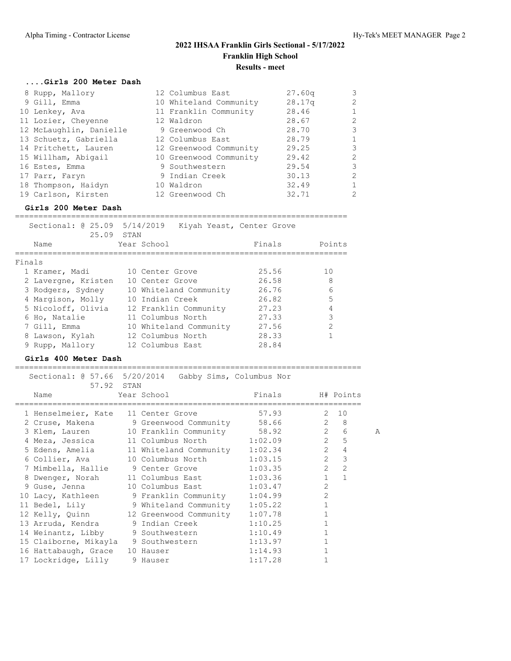## **....Girls 200 Meter Dash**

| 8 Rupp, Mallory         | 12 Columbus East       | 27.60q | 3            |
|-------------------------|------------------------|--------|--------------|
| 9 Gill, Emma            | 10 Whiteland Community | 28.17q | 2            |
| 10 Lenkey, Ava          | 11 Franklin Community  | 28.46  | 1            |
| 11 Lozier, Cheyenne     | 12 Waldron             | 28.67  | 2            |
| 12 McLaughlin, Danielle | 9 Greenwood Ch         | 28.70  | 3            |
| 13 Schuetz, Gabriella   | 12 Columbus East       | 28.79  | $\mathbf{1}$ |
| 14 Pritchett, Lauren    | 12 Greenwood Community | 29.25  | $\mathbf{3}$ |
| 15 Willham, Abigail     | 10 Greenwood Community | 29.42  | 2            |
| 16 Estes, Emma          | 9 Southwestern         | 29.54  | 3            |
| 17 Parr, Faryn          | 9 Indian Creek         | 30.13  | 2            |
| 18 Thompson, Haidyn     | 10 Waldron             | 32.49  | 1            |
| 19 Carlson, Kirsten     | 12 Greenwood Ch        | 32.71  | 2            |

#### **Girls 200 Meter Dash**

|                     | STAN                   |                                                                                                                                                                              |
|---------------------|------------------------|------------------------------------------------------------------------------------------------------------------------------------------------------------------------------|
| Name                |                        | Points                                                                                                                                                                       |
| Finals              |                        |                                                                                                                                                                              |
| 1 Kramer, Madi      | 10 Center Grove        | 10                                                                                                                                                                           |
| 2 Lavergne, Kristen | 10 Center Grove        | 8                                                                                                                                                                            |
| 3 Rodgers, Sydney   | 10 Whiteland Community | 6                                                                                                                                                                            |
| 4 Margison, Molly   | 10 Indian Creek        | 5                                                                                                                                                                            |
| 5 Nicoloff, Olivia  | 12 Franklin Community  | 4                                                                                                                                                                            |
| 6 Ho, Natalie       | 11 Columbus North      | 3                                                                                                                                                                            |
| 7 Gill, Emma        | 10 Whiteland Community | 2                                                                                                                                                                            |
| 8 Lawson, Kylah     | 12 Columbus North      |                                                                                                                                                                              |
| 9 Rupp, Mallory     | 12 Columbus East       |                                                                                                                                                                              |
|                     |                        | Sectional: 0 25.09 5/14/2019<br>Kiyah Yeast, Center Grove<br>25.09<br>Year School<br>Finals<br>25.56<br>26.58<br>26.76<br>26.82<br>27.23<br>27.33<br>27.56<br>28.33<br>28.84 |

#### **Girls 400 Meter Dash**

| 57.92 STAN                          | Sectional: @ 57.66 5/20/2014 Gabby Sims, Columbus Nor |                  |                |                               |   |
|-------------------------------------|-------------------------------------------------------|------------------|----------------|-------------------------------|---|
| Year School<br>Name                 |                                                       | Finals H# Points |                |                               |   |
| 1 Henselmeier, Kate 11 Center Grove |                                                       | 57.93            | 2              | 10                            |   |
|                                     | 2 Cruse, Makena 9 Greenwood Community 58.66 2 8       |                  |                |                               |   |
|                                     | 3 Klem, Lauren 10 Franklin Community 58.92 2          |                  |                | 6                             | Α |
|                                     | 4 Meza, Jessica 11 Columbus North 1:02.09 2           |                  |                | $\overline{5}$                |   |
|                                     | 5 Edens, Amelia 11 Whiteland Community                | 1:02.34          |                | $2^{\circ}$<br>$\overline{4}$ |   |
|                                     | 6 Collier, Ava 10 Columbus North                      | 1:03.15          | $\overline{2}$ | $\overline{3}$                |   |
|                                     | 7 Mimbella, Hallie 9 Center Grove                     | 1:03.35          |                | $2^{\circ}$<br>$\overline{2}$ |   |
|                                     | 8 Dwenger, Norah 11 Columbus East                     | 1:03.36          |                | $1 \quad$<br>$\mathbf{1}$     |   |
|                                     | 9 Guse, Jenna 10 Columbus East                        | 1:03.47          | $\overline{2}$ |                               |   |
|                                     | 10 Lacy, Kathleen 9 Franklin Community 1:04.99        |                  | $\overline{2}$ |                               |   |
|                                     | 11 Bedel, Lily 9 Whiteland Community                  | 1:05.22          | $\mathbf{1}$   |                               |   |
|                                     | 12 Kelly, Quinn 12 Greenwood Community                | 1:07.78          |                |                               |   |
|                                     | 13 Arruda, Kendra (1984) 9 Indian Creek               | 1:10.25          |                |                               |   |
|                                     | 14 Weinantz, Libby 9 Southwestern                     | 1:10.49          |                |                               |   |
|                                     | 15 Claiborne, Mikayla 9 Southwestern                  | 1:13.97          |                |                               |   |
| 16 Hattabaugh, Grace 10 Hauser      |                                                       | 1:14.93          |                |                               |   |
| 17 Lockridge, Lilly 9 Hauser        |                                                       | 1:17.28          |                |                               |   |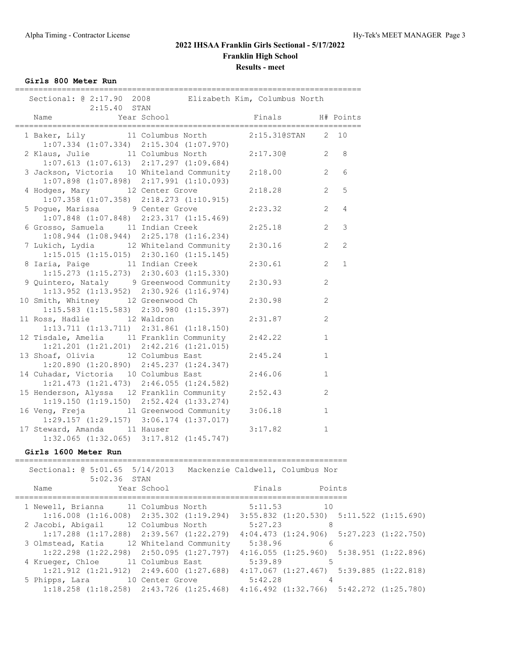**Girls 800 Meter Run**

| Sectional: @ 2:17.90 2008 Elizabeth Kim, Columbus North<br>$2:15.40$ STAN                         |                |                |                |
|---------------------------------------------------------------------------------------------------|----------------|----------------|----------------|
| Year School<br>Name                                                                               | Finals         |                | H# Points      |
| 1 Baker, Lily 11 Columbus North 2:15.310STAN 2<br>$1:07.334$ $(1:07.334)$ $2:15.304$ $(1:07.970)$ |                |                | 10             |
| 2 Klaus, Julie 11 Columbus North 2:17.300<br>$1:07.613$ $(1:07.613)$ $2:17.297$ $(1:09.684)$      | $\overline{2}$ |                | 8              |
| 3 Jackson, Victoria 10 Whiteland Community<br>$1:07.898$ $(1:07.898)$ $2:17.991$ $(1:10.093)$     | 2:18.00        | 2              | 6              |
| 4 Hodges, Mary 12 Center Grove<br>$1:07.358$ $(1:07.358)$ $2:18.273$ $(1:10.915)$                 | 2:18.28        | $\overline{2}$ | 5              |
| 5 Poque, Marissa 9 Center Grove<br>$1:07.848$ $(1:07.848)$ $2:23.317$ $(1:15.469)$                | 2:23.32        | $\overline{2}$ | 4              |
| 6 Grosso, Samuela 11 Indian Creek<br>$1:08.944$ $(1:08.944)$ $2:25.178$ $(1:16.234)$              | 2:25.18        | $\overline{2}$ | $\mathfrak{Z}$ |
| 7 Lukich, Lydia 12 Whiteland Community<br>$1:15.015$ $(1:15.015)$ $2:30.160$ $(1:15.145)$         | 2:30.16        | 2              | $\overline{2}$ |
| 8 Iaria, Paige 11 Indian Creek<br>$1:15.273$ $(1:15.273)$ $2:30.603$ $(1:15.330)$                 | 2:30.61        | $\overline{2}$ | $\mathbf{1}$   |
| 9 Quintero, Nataly 9 Greenwood Community<br>$1:13.952$ $(1:13.952)$ $2:30.926$ $(1:16.974)$       | 2:30.93        | $\overline{c}$ |                |
| 10 Smith, Whitney 12 Greenwood Ch<br>$1:15.583$ $(1:15.583)$ $2:30.980$ $(1:15.397)$              | 2:30.98        | 2              |                |
| 11 Ross, Hadlie 12 Waldron<br>$1:13.711$ $(1:13.711)$ $2:31.861$ $(1:18.150)$                     | 2:31.87        | 2              |                |
| 12 Tisdale, Amelia 11 Franklin Community<br>$1:21.201$ $(1:21.201)$ $2:42.216$ $(1:21.015)$       | 2:42.22        | $\mathbf{1}$   |                |
| 13 Shoaf, Olivia 12 Columbus East<br>$1:20.890$ $(1:20.890)$ $2:45.237$ $(1:24.347)$              | 2:45.24        | $\mathbf{1}$   |                |
| 14 Cuhadar, Victoria 10 Columbus East<br>$1:21.473$ $(1:21.473)$ $2:46.055$ $(1:24.582)$          | 2:46.06        | $\mathbf{1}$   |                |
| 15 Henderson, Alyssa 12 Franklin Community<br>$1:19.150$ $(1:19.150)$ $2:52.424$ $(1:33.274)$     | 2:52.43        | 2              |                |
| 16 Veng, Freja 11 Greenwood Community<br>$1:29.157$ $(1:29.157)$ $3:06.174$ $(1:37.017)$          | 3:06.18        | $\mathbf{1}$   |                |
| 17 Steward, Amanda 11 Hauser<br>1:32.065 (1:32.065) 3:17.812 (1:45.747)                           | 3:17.82        | $\mathbf{1}$   |                |

#### **Girls 1600 Meter Run**

| Name |  |                             |    |                                                                                                                                                                                                                                          |                                                                                                                                                                                                                                                                                                                                                                                                                                                                                                                                                                                                 |
|------|--|-----------------------------|----|------------------------------------------------------------------------------------------------------------------------------------------------------------------------------------------------------------------------------------------|-------------------------------------------------------------------------------------------------------------------------------------------------------------------------------------------------------------------------------------------------------------------------------------------------------------------------------------------------------------------------------------------------------------------------------------------------------------------------------------------------------------------------------------------------------------------------------------------------|
|      |  |                             |    |                                                                                                                                                                                                                                          |                                                                                                                                                                                                                                                                                                                                                                                                                                                                                                                                                                                                 |
|      |  |                             |    |                                                                                                                                                                                                                                          |                                                                                                                                                                                                                                                                                                                                                                                                                                                                                                                                                                                                 |
|      |  |                             | 8  |                                                                                                                                                                                                                                          |                                                                                                                                                                                                                                                                                                                                                                                                                                                                                                                                                                                                 |
|      |  |                             |    |                                                                                                                                                                                                                                          |                                                                                                                                                                                                                                                                                                                                                                                                                                                                                                                                                                                                 |
|      |  |                             | -6 |                                                                                                                                                                                                                                          |                                                                                                                                                                                                                                                                                                                                                                                                                                                                                                                                                                                                 |
|      |  |                             |    |                                                                                                                                                                                                                                          |                                                                                                                                                                                                                                                                                                                                                                                                                                                                                                                                                                                                 |
|      |  |                             | 5  |                                                                                                                                                                                                                                          |                                                                                                                                                                                                                                                                                                                                                                                                                                                                                                                                                                                                 |
|      |  |                             |    |                                                                                                                                                                                                                                          |                                                                                                                                                                                                                                                                                                                                                                                                                                                                                                                                                                                                 |
|      |  |                             |    |                                                                                                                                                                                                                                          |                                                                                                                                                                                                                                                                                                                                                                                                                                                                                                                                                                                                 |
|      |  |                             |    |                                                                                                                                                                                                                                          |                                                                                                                                                                                                                                                                                                                                                                                                                                                                                                                                                                                                 |
|      |  | 5:02.36 STAN<br>Year School |    | 1 Newell, Brianna 11 Columbus North 5:11.53 10<br>2 Jacobi, Abigail 12 Columbus North 5:27.23<br>3 Olmstead, Katia 12 Whiteland Community 5:38.96<br>4 Krueger, Chloe 11 Columbus East 5:39.89<br>5 Phipps, Lara 10 Center Grove 5:42.28 | Sectional: 0 5:01.65 5/14/2013 Mackenzie Caldwell, Columbus Nor<br>Finals Points<br>$1:16.008$ $(1:16.008)$ $2:35.302$ $(1:19.294)$ $3:55.832$ $(1:20.530)$ $5:11.522$ $(1:15.690)$<br>$1:17.288$ $(1:17.288)$ $2:39.567$ $(1:22.279)$ $4:04.473$ $(1:24.906)$ $5:27.223$ $(1:22.750)$<br>$1:22.298$ $(1:22.298)$ $2:50.095$ $(1:27.797)$ $4:16.055$ $(1:25.960)$ $5:38.951$ $(1:22.896)$<br>$1:21.912$ $(1:21.912)$ $2:49.600$ $(1:27.688)$ $4:17.067$ $(1:27.467)$ $5:39.885$ $(1:22.818)$<br>$1:18.258$ $(1:18.258)$ $2:43.726$ $(1:25.468)$ $4:16.492$ $(1:32.766)$ $5:42.272$ $(1:25.780)$ |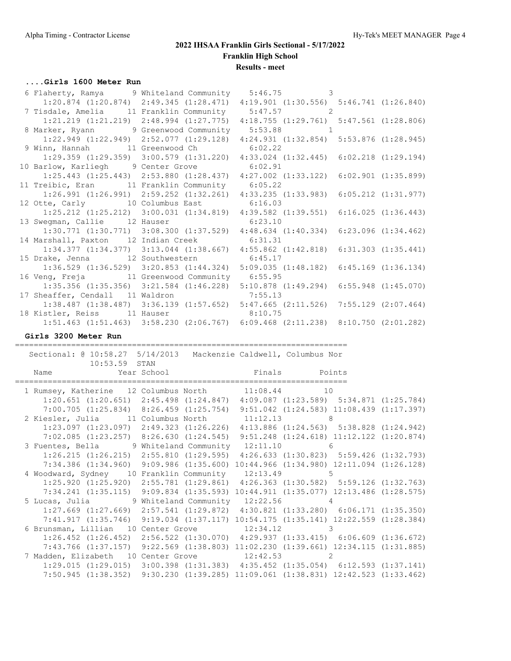#### **....Girls 1600 Meter Run**

| 6 Flaherty, Ramya 9 Whiteland Community 5:46.75 3                                               |                                                                                                 |  |
|-------------------------------------------------------------------------------------------------|-------------------------------------------------------------------------------------------------|--|
| 1:20.874 (1:20.874) 2:49.345 (1:28.471) 4:19.901 (1:30.556) 5:46.741 (1:26.840)                 |                                                                                                 |  |
| 7 Tisdale, Amelia 11 Franklin Community 5:47.57 2                                               |                                                                                                 |  |
|                                                                                                 | $1:21.219$ $(1:21.219)$ $2:48.994$ $(1:27.775)$ $4:18.755$ $(1:29.761)$ $5:47.561$ $(1:28.806)$ |  |
| 8 Marker, Ryann 9 Greenwood Community 5:53.88 1                                                 |                                                                                                 |  |
|                                                                                                 | 1:22.949 (1:22.949) 2:52.077 (1:29.128) 4:24.931 (1:32.854) 5:53.876 (1:28.945)                 |  |
| 9 Winn, Hannah 11 Greenwood Ch 6:02.22                                                          |                                                                                                 |  |
| $1:29.359$ $(1:29.359)$ $3:00.579$ $(1:31.220)$ $4:33.024$ $(1:32.445)$ $6:02.218$ $(1:29.194)$ |                                                                                                 |  |
| 10 Barlow, Karliegh 9 Center Grove 6:02.91                                                      |                                                                                                 |  |
|                                                                                                 | $1:25.443$ $(1:25.443)$ $2:53.880$ $(1:28.437)$ $4:27.002$ $(1:33.122)$ $6:02.901$ $(1:35.899)$ |  |
| 11 Treibic, Eran 11 Franklin Community 6:05.22                                                  |                                                                                                 |  |
|                                                                                                 | $1:26.991$ $(1:26.991)$ $2:59.252$ $(1:32.261)$ $4:33.235$ $(1:33.983)$ $6:05.212$ $(1:31.977)$ |  |
| 12 Otte, Carly 10 Columbus East 6:16.03                                                         |                                                                                                 |  |
| 1:25.212 (1:25.212) 3:00.031 (1:34.819) 4:39.582 (1:39.551) 6:16.025 (1:36.443)                 |                                                                                                 |  |
| 13 Swegman, Callie 12 Hauser 6:23.10                                                            |                                                                                                 |  |
|                                                                                                 | 1:30.771 (1:30.771) 3:08.300 (1:37.529) 4:48.634 (1:40.334) 6:23.096 (1:34.462)                 |  |
| 14 Marshall, Paxton 12 Indian Creek 6:31.31                                                     |                                                                                                 |  |
|                                                                                                 | 1:34.377 (1:34.377) 3:13.044 (1:38.667) 4:55.862 (1:42.818) 6:31.303 (1:35.441)                 |  |
| 15 Drake, Jenna 12 Southwestern 6:45.17                                                         |                                                                                                 |  |
|                                                                                                 | $1:36.529$ $(1:36.529)$ $3:20.853$ $(1:44.324)$ $5:09.035$ $(1:48.182)$ $6:45.169$ $(1:36.134)$ |  |
| 16 Veng, Freja 11 Greenwood Community 6:55.95                                                   |                                                                                                 |  |
| 1:35.356 (1:35.356) 3:21.584 (1:46.228) 5:10.878 (1:49.294) 6:55.948 (1:45.070)                 |                                                                                                 |  |
| 17 Sheaffer, Cendall 11 Waldron 7:55.13                                                         |                                                                                                 |  |
| 1:38.487 (1:38.487) 3:36.139 (1:57.652) 5:47.665 (2:11.526) 7:55.129 (2:07.464)                 |                                                                                                 |  |
| 18 Kistler, Reiss 11 Hauser 8:10.75                                                             |                                                                                                 |  |
|                                                                                                 | 1:51.463 (1:51.463) 3:58.230 (2:06.767) 6:09.468 (2:11.238) 8:10.750 (2:01.282)                 |  |

#### **Girls 3200 Meter Run**

======================================================================= Sectional: @ 10:58.27 5/14/2013 Mackenzie Caldwell, Columbus Nor

|  | DOCULUME: C IV.JU.ZT V/IT/ZUIJ - MAUNUMILIO UQIUMULII, UULUMUU NUL<br>10:53.59 STAN                                                                                                                                          |  |  |  |
|--|------------------------------------------------------------------------------------------------------------------------------------------------------------------------------------------------------------------------------|--|--|--|
|  | Name   Year School   Year School   Year   School   Year   School   Year   School   Year   Year   Year   Year   Year   Year   Year   Year   Year   Year   Year   Year   Year   Year   Year   Year   Year   Year   Year   Year |  |  |  |
|  | 1 Rumsey, Katherine 12 Columbus North 11:08.44 10                                                                                                                                                                            |  |  |  |
|  | $1:20.651$ (1:20.651) $2:45.498$ (1:24.847) $4:09.087$ (1:23.589) 5:34.871 (1:25.784)                                                                                                                                        |  |  |  |
|  | 7:00.705 (1:25.834) 8:26.459 (1:25.754) 9:51.042 (1:24.583) 11:08.439 (1:17.397)                                                                                                                                             |  |  |  |
|  | 2 Kiesler, Julia 11 Columbus North 11:12.13 8                                                                                                                                                                                |  |  |  |
|  | 1:23.097 (1:23.097) 2:49.323 (1:26.226) 4:13.886 (1:24.563) 5:38.828 (1:24.942)                                                                                                                                              |  |  |  |
|  | $7:02.085$ (1:23.257) 8:26.630 (1:24.545) 9:51.248 (1:24.618) 11:12.122 (1:20.874)                                                                                                                                           |  |  |  |
|  | 3 Fuentes, Bella 9 Whiteland Community 12:11.10 6                                                                                                                                                                            |  |  |  |
|  | $1:26.215$ $(1:26.215)$ $2:55.810$ $(1:29.595)$ $4:26.633$ $(1:30.823)$ $5:59.426$ $(1:32.793)$                                                                                                                              |  |  |  |
|  | 7:34.386 (1:34.960) 9:09.986 (1:35.600) 10:44.966 (1:34.980) 12:11.094 (1:26.128)                                                                                                                                            |  |  |  |
|  | 4 Woodward, Sydney 10 Franklin Community 12:13.49 5                                                                                                                                                                          |  |  |  |
|  | 1:25.920 (1:25.920) 2:55.781 (1:29.861) 4:26.363 (1:30.582) 5:59.126 (1:32.763)                                                                                                                                              |  |  |  |
|  | 7:34.241 (1:35.115) 9:09.834 (1:35.593) 10:44.911 (1:35.077) 12:13.486 (1:28.575)                                                                                                                                            |  |  |  |
|  | 5 Lucas, Julia 9 Whiteland Community 12:22.56 4                                                                                                                                                                              |  |  |  |
|  | 1:27.669 (1:27.669) 2:57.541 (1:29.872) 4:30.821 (1:33.280) 6:06.171 (1:35.350)                                                                                                                                              |  |  |  |
|  | 7:41.917 (1:35.746) 9:19.034 (1:37.117) 10:54.175 (1:35.141) 12:22.559 (1:28.384)                                                                                                                                            |  |  |  |
|  | 6 Brunsman, Lillian 10 Center Grove 12:34.12 3                                                                                                                                                                               |  |  |  |
|  | $1:26.452$ (1:26.452) $2:56.522$ (1:30.070) $4:29.937$ (1:33.415) 6:06.609 (1:36.672)                                                                                                                                        |  |  |  |
|  | 7:43.766 (1:37.157) 9:22.569 (1:38.803) 11:02.230 (1:39.661) 12:34.115 (1:31.885)                                                                                                                                            |  |  |  |
|  | 7 Madden, Elizabeth 10 Center Grove 12:42.53 2                                                                                                                                                                               |  |  |  |
|  | $1:29.015$ $(1:29.015)$ $3:00.398$ $(1:31.383)$ $4:35.452$ $(1:35.054)$ $6:12.593$ $(1:37.141)$                                                                                                                              |  |  |  |
|  | 7:50.945 (1:38.352) 9:30.230 (1:39.285) 11:09.061 (1:38.831) 12:42.523 (1:33.462)                                                                                                                                            |  |  |  |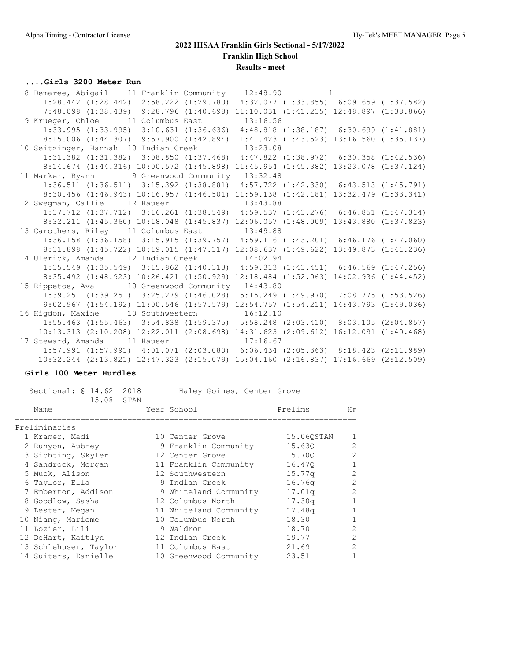## **....Girls 3200 Meter Run**

| 8 Demaree, Abigail 11 Franklin Community 12:48.90 1                                             |  |  |  |
|-------------------------------------------------------------------------------------------------|--|--|--|
| $1:28.442$ $(1:28.442)$ $2:58.222$ $(1:29.780)$ $4:32.077$ $(1:33.855)$ $6:09.659$ $(1:37.582)$ |  |  |  |
| 7:48.098 (1:38.439) 9:28.796 (1:40.698) 11:10.031 (1:41.235) 12:48.897 (1:38.866)               |  |  |  |
| 9 Krueger, Chloe 11 Columbus East 13:16.56                                                      |  |  |  |
| $1:33.995$ (1:33.995) 3:10.631 (1:36.636) 4:48.818 (1:38.187) 6:30.699 (1:41.881)               |  |  |  |
| 8:15.006 (1:44.307) 9:57.900 (1:42.894) 11:41.423 (1:43.523) 13:16.560 (1:35.137)               |  |  |  |
| 10 Seitzinger, Hannah 10 Indian Creek 13:23.08                                                  |  |  |  |
| 1:31.382 (1:31.382) 3:08.850 (1:37.468) 4:47.822 (1:38.972) 6:30.358 (1:42.536)                 |  |  |  |
| 8:14.674 (1:44.316) 10:00.572 (1:45.898) 11:45.954 (1:45.382) 13:23.078 (1:37.124)              |  |  |  |
| 11 Marker, Ryann 9 Greenwood Community 13:32.48                                                 |  |  |  |
| 1:36.511 (1:36.511) 3:15.392 (1:38.881) 4:57.722 (1:42.330) 6:43.513 (1:45.791)                 |  |  |  |
| 8:30.456 (1:46.943) 10:16.957 (1:46.501) 11:59.138 (1:42.181) 13:32.479 (1:33.341)              |  |  |  |
| 12 Sweqman, Callie 12 Hauser 13:43.88                                                           |  |  |  |
| 1:37.712 (1:37.712) 3:16.261 (1:38.549) 4:59.537 (1:43.276) 6:46.851 (1:47.314)                 |  |  |  |
| 8:32.211 (1:45.360) 10:18.048 (1:45.837) 12:06.057 (1:48.009) 13:43.880 (1:37.823)              |  |  |  |
| 13 Carothers, Riley 11 Columbus East 13:49.88                                                   |  |  |  |
| 1:36.158 (1:36.158) 3:15.915 (1:39.757) 4:59.116 (1:43.201) 6:46.176 (1:47.060)                 |  |  |  |
| 8:31.898 (1:45.722) 10:19.015 (1:47.117) 12:08.637 (1:49.622) 13:49.873 (1:41.236)              |  |  |  |
| 14 Ulerick, Amanda 12 Indian Creek 14:02.94                                                     |  |  |  |
| 1:35.549 (1:35.549) 3:15.862 (1:40.313) 4:59.313 (1:43.451) 6:46.569 (1:47.256)                 |  |  |  |
| 8:35.492 (1:48.923) 10:26.421 (1:50.929) 12:18.484 (1:52.063) 14:02.936 (1:44.452)              |  |  |  |
| 15 Rippetoe, Ava 10 Greenwood Community 14:43.80                                                |  |  |  |
| 1:39.251 (1:39.251) 3:25.279 (1:46.028) 5:15.249 (1:49.970) 7:08.775 (1:53.526)                 |  |  |  |
| 9:02.967 (1:54.192) 11:00.546 (1:57.579) 12:54.757 (1:54.211) 14:43.793 (1:49.036)              |  |  |  |
| 16 Higdon, Maxine 10 Southwestern 16:12.10                                                      |  |  |  |
| $1:55.463$ $(1:55.463)$ $3:54.838$ $(1:59.375)$ $5:58.248$ $(2:03.410)$ $8:03.105$ $(2:04.857)$ |  |  |  |
| 10:13.313 (2:10.208) 12:22.011 (2:08.698) 14:31.623 (2:09.612) 16:12.091 (1:40.468)             |  |  |  |
| 17 Steward, Amanda 11 Hauser 17:16.67                                                           |  |  |  |
| 1:57.991 (1:57.991) 4:01.071 (2:03.080) 6:06.434 (2:05.363) 8:18.423 (2:11.989)                 |  |  |  |
| 10:32.244 (2:13.821) 12:47.323 (2:15.079) 15:04.160 (2:16.837) 17:16.669 (2:12.509)             |  |  |  |

#### **Girls 100 Meter Hurdles**

| Sectional: 0 14.62 2018<br>15.08 STAN | Haley Goines, Center Grove |            |                |
|---------------------------------------|----------------------------|------------|----------------|
| Name                                  | Year School                | Prelims    | H#             |
| Preliminaries                         |                            |            |                |
| 1 Kramer, Madi                        | 10 Center Grove            | 15.060STAN |                |
| 2 Runyon, Aubrey                      | 9 Franklin Community       | 15.630     | $\mathfrak{D}$ |
| 3 Sichting, Skyler                    | 12 Center Grove            | 15.700     | $\mathcal{P}$  |
| 4 Sandrock, Morgan                    | 11 Franklin Community      | 16.470     |                |
| 5 Muck, Alison                        | 12 Southwestern            | 15.77a     | $\mathfrak{D}$ |
| 6 Taylor, Ella                        | 9 Indian Creek             | 16.76q     | $\mathfrak{D}$ |
| 7 Emberton, Addison                   | 9 Whiteland Community      | 17.01q     | $\mathcal{L}$  |
| 8 Goodlow, Sasha                      | 12 Columbus North          | 17.30q     | 1              |
| 9 Lester, Megan                       | 11 Whiteland Community     | 17.48q     | 1              |
| 10 Niang, Marieme                     | 10 Columbus North          | 18.30      |                |
| 11 Lozier, Lili                       | 9 Waldron                  | 18.70      | 2              |
| 12 DeHart, Kaitlyn                    | 12 Indian Creek            | 19.77      | 2              |
| 13 Schlehuser, Taylor                 | 11 Columbus East           | 21.69      | $\mathcal{L}$  |
| 14 Suiters, Danielle                  | 10 Greenwood Community     | 23.51      |                |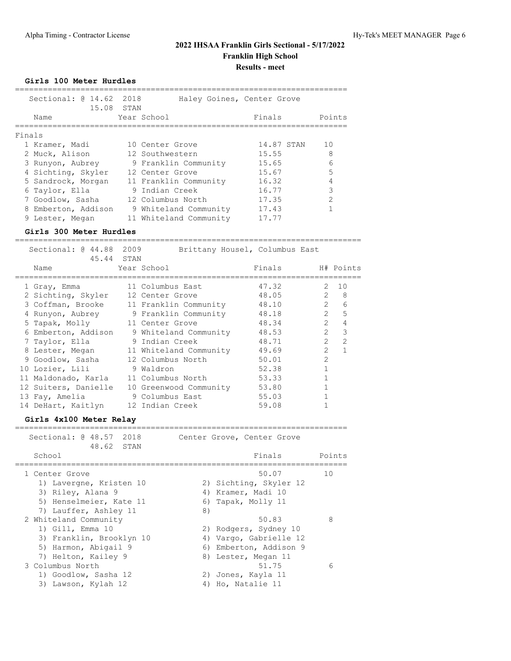**Girls 100 Meter Hurdles**

| Name                |  | Finals                                                                                                                                                                                                                                                   | Points                     |
|---------------------|--|----------------------------------------------------------------------------------------------------------------------------------------------------------------------------------------------------------------------------------------------------------|----------------------------|
| Finals              |  |                                                                                                                                                                                                                                                          |                            |
| 1 Kramer, Madi      |  | 14.87 STAN                                                                                                                                                                                                                                               | 10                         |
| 2 Muck, Alison      |  | 15.55                                                                                                                                                                                                                                                    | 8                          |
| 3 Runyon, Aubrey    |  | 15.65                                                                                                                                                                                                                                                    | 6                          |
| 4 Sichting, Skyler  |  | 15.67                                                                                                                                                                                                                                                    | 5                          |
| 5 Sandrock, Morgan  |  | 16.32                                                                                                                                                                                                                                                    | 4                          |
| 6 Taylor, Ella      |  | 16.77                                                                                                                                                                                                                                                    | 3                          |
| 7 Goodlow, Sasha    |  | 17.35                                                                                                                                                                                                                                                    | $\mathcal{P}$              |
| 8 Emberton, Addison |  | 17.43                                                                                                                                                                                                                                                    |                            |
| 9 Lester, Megan     |  | 17.77                                                                                                                                                                                                                                                    |                            |
|                     |  | Sectional: 0 14.62 2018<br>15.08 STAN<br>Year School<br>10 Center Grove<br>12 Southwestern<br>9 Franklin Community<br>12 Center Grove<br>11 Franklin Community<br>9 Indian Creek<br>12 Columbus North<br>9 Whiteland Community<br>11 Whiteland Community | Haley Goines, Center Grove |

#### **Girls 300 Meter Hurdles**

========================================================================== Sectional: @ 44.88 2009 Brittany Housel, Columbus East 45.44 STAN Name Year School Finals H# Points ========================================================================== 1 Gray, Emma 11 Columbus East 47.32 2 10 2 Sichting, Skyler 12 Center Grove 48.05 2 8 3 Coffman, Brooke 11 Franklin Community 48.10 2 6 4 Runyon, Aubrey 9 Franklin Community 48.18 2 5 5 Tapak, Molly 11 Center Grove 48.34 2 4 6 Emberton, Addison 9 Whiteland Community 48.53 2 3 7 Taylor, Ella 9 Indian Creek 48.71 2 2 8 Lester, Megan 11 Whiteland Community 49.69 2 1 9 Goodlow, Sasha 12 Columbus North 50.01 2 10 Lozier, Lili 9 Waldron 52.38 1 11 Maldonado, Karla 11 Columbus North 53.33 1 12 Suiters, Danielle 10 Greenwood Community 53.80 1 13 Fay, Amelia 9 Columbus East 55.03 1 14 DeHart, Kaitlyn 12 Indian Creek 59.08 1

#### **Girls 4x100 Meter Relay** =======================================================================

Sectional: @ 48.57 2018 Center Grove, Center Grove 48.62 STAN School **Finals** Points ======================================================================= 1 Center Grove 50.07 10 1) Lavergne, Kristen 10 2) Sichting, Skyler 12 3) Riley, Alana 9 4) Kramer, Madi 10 5) Henselmeier, Kate 11 6) Tapak, Molly 11 7) Lauffer, Ashley 11 8) 2 Whiteland Community 60.83 88 1) Gill, Emma 10 2) Rodgers, Sydney 10 3) Franklin, Brooklyn 10 4) Vargo, Gabrielle 12 5) Harmon, Abigail 9 6) Emberton, Addison 9 7) Helton, Kailey 9 8) Lester, Megan 11 3 Columbus North 51.75 6 1) Goodlow, Sasha 12 2) Jones, Kayla 11 3) Lawson, Kylah 12 4) Ho, Natalie 11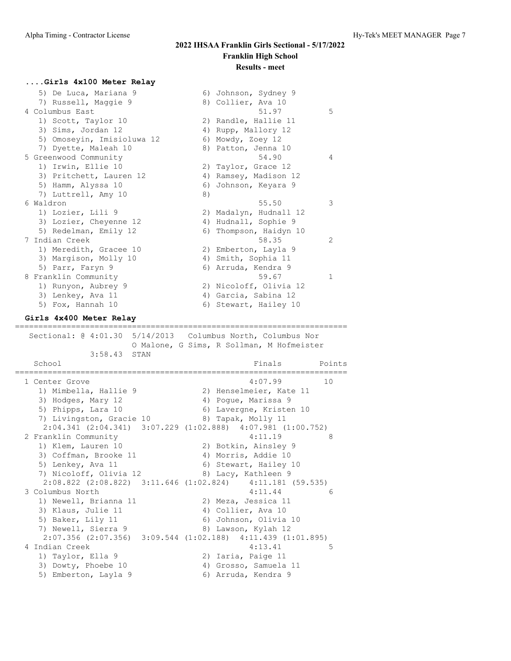#### **....Girls 4x100 Meter Relay**

| 5) De Luca, Mariana 9      | 6) Johnson, Sydney 9   |   |
|----------------------------|------------------------|---|
| 7) Russell, Maggie 9       | 8) Collier, Ava 10     |   |
| 4 Columbus East            | 51.97                  | 5 |
| 1) Scott, Taylor 10        | 2) Randle, Hallie 11   |   |
| 3) Sims, Jordan 12         | 4) Rupp, Mallory 12    |   |
| 5) Omoseyin, Imisioluwa 12 | 6) Mowdy, Zoey 12      |   |
| 7) Dyette, Maleah 10       | 8) Patton, Jenna 10    |   |
| 5 Greenwood Community      | 54.90                  | 4 |
| 1) Irwin, Ellie 10         | 2) Taylor, Grace 12    |   |
| 3) Pritchett, Lauren 12    | 4) Ramsey, Madison 12  |   |
| 5) Hamm, Alyssa 10         | 6) Johnson, Keyara 9   |   |
| 7) Luttrell, Amy 10        | 8)                     |   |
| 6 Waldron                  | 55.50                  | 3 |
| 1) Lozier, Lili 9          | 2) Madalyn, Hudnall 12 |   |
| 3) Lozier, Cheyenne 12     | 4) Hudnall, Sophie 9   |   |
| 5) Redelman, Emily 12      | 6) Thompson, Haidyn 10 |   |
| 7 Indian Creek             | 58.35                  | 2 |
| 1) Meredith, Gracee 10     | 2) Emberton, Layla 9   |   |
| 3) Margison, Molly 10      | 4) Smith, Sophia 11    |   |
| 5) Parr, Faryn 9           | 6) Arruda, Kendra 9    |   |
| 8 Franklin Community       | 59.67                  | 1 |
| 1) Runyon, Aubrey 9        | 2) Nicoloff, Olivia 12 |   |
| 3) Lenkey, Ava 11          |                        |   |
|                            | 4) Garcia, Sabina 12   |   |

#### **Girls 4x400 Meter Relay** =======================================================================

 Sectional: @ 4:01.30 5/14/2013 Columbus North, Columbus Nor O Malone, G Sims, R Sollman, M Hofmeister 3:58.43 STAN School **Finals** Points ======================================================================= 1 Center Grove 4:07.99 10 1) Mimbella, Hallie 9 2) Henselmeier, Kate 11 3) Hodges, Mary 12 (4) Pogue, Marissa 9 5) Phipps, Lara 10 6) Lavergne, Kristen 10 7) Livingston, Gracie 10 (8) Tapak, Molly 11 2:04.341 (2:04.341) 3:07.229 (1:02.888) 4:07.981 (1:00.752) 2 Franklin Community 4:11.19 8 1) Klem, Lauren 10 2) Botkin, Ainsley 9 3) Coffman, Brooke 11 (4) Morris, Addie 10 5) Lenkey, Ava 11 (6) Stewart, Hailey 10 5) Lenkey, Ava 11 (6) Stewart, Hailey 10<br>
7) Nicoloff, Olivia 12 (8) Lacy, Kathleen 9 2:08.822 (2:08.822) 3:11.646 (1:02.824) 4:11.181 (59.535) 3 Columbus North 4:11.44 6 1) Newell, Brianna 11 and 2) Meza, Jessica 11 3) Klaus, Julie 11 (4) Collier, Ava 10 5) Baker, Lily 11 6) Johnson, Olivia 10 7) Newell, Sierra 9 8) Lawson, Kylah 12 2:07.356 (2:07.356) 3:09.544 (1:02.188) 4:11.439 (1:01.895) 4 Indian Creek 4:13.41 5 1) Taylor, Ella 9 2) Iaria, Paige 11 3) Dowty, Phoebe 10 4) Grosso, Samuela 11 5) Emberton, Layla 9 6) Arruda, Kendra 9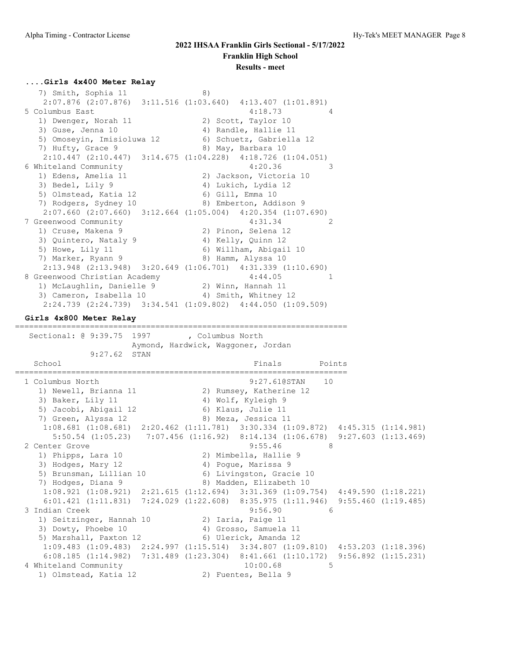#### **....Girls 4x400 Meter Relay**

 $7)$  Smith, Sophia 11 8) 2:07.876 (2:07.876) 3:11.516 (1:03.640) 4:13.407 (1:01.891) 5 Columbus East 4:18.73 4 1) Dwenger, Norah 11 2) Scott, Taylor 10 3) Guse, Jenna 10 (4) Randle, Hallie 11 5) Omoseyin, Imisioluwa 12 6) Schuetz, Gabriella 12 7) Hufty, Grace 9 8) May, Barbara 10 2:10.447 (2:10.447) 3:14.675 (1:04.228) 4:18.726 (1:04.051) 6 Whiteland Community 4:20.36 3 1) Edens, Amelia 11 2) Jackson, Victoria 10 3) Bedel, Lily 9 4) Lukich, Lydia 12 5) Olmstead, Katia 12 (6) Gill, Emma 10 7) Rodgers, Sydney 10 and 8) Emberton, Addison 9 2:07.660 (2:07.660) 3:12.664 (1:05.004) 4:20.354 (1:07.690) 7 Greenwood Community  $4:31.34$ <br>
2) Pinon, Selena 12 1) Cruse, Makena 9 2) Pinon, Selena 12 3) Quintero, Nataly 9 4) Kelly, Quinn 12 5) Howe, Lily 11 6) Willham, Abigail 10 7) Marker, Ryann 9 8) Hamm, Alyssa 10 2:13.948 (2:13.948) 3:20.649 (1:06.701) 4:31.339 (1:10.690) 8 Greenwood Christian Academy 4:44.05 1 1) McLaughlin, Danielle 9 2) Winn, Hannah 11 3) Cameron, Isabella 10 4) Smith, Whitney 12 2:24.739 (2:24.739) 3:34.541 (1:09.802) 4:44.050 (1:09.509)

### **Girls 4x800 Meter Relay**

======================================================================= Sectional: @ 9:39.75 1997 , Columbus North Aymond, Hardwick, Waggoner, Jordan 9:27.62 STAN School **Finals** Points Points ======================================================================= 1 Columbus North 9:27.61@STAN 10 1) Newell, Brianna 11 2) Rumsey, Katherine 12 3) Baker, Lily 11 4) Wolf, Kyleigh 9 5) Jacobi, Abigail 12 6) Klaus, Julie 11 7) Green, Alyssa 12 and 8) Meza, Jessica 11 1:08.681 (1:08.681) 2:20.462 (1:11.781) 3:30.334 (1:09.872) 4:45.315 (1:14.981) 5:50.54 (1:05.23) 7:07.456 (1:16.92) 8:14.134 (1:06.678) 9:27.603 (1:13.469) 2 Center Grove 8:55.46 8 1) Phipps, Lara 10 2) Mimbella, Hallie 9 3) Hodges, Mary 12 4) Pogue, Marissa 9 5) Brunsman, Lillian 10 6) Livingston, Gracie 10 7) Hodges, Diana 9 8) Madden, Elizabeth 10 1:08.921 (1:08.921) 2:21.615 (1:12.694) 3:31.369 (1:09.754) 4:49.590 (1:18.221) 6:01.421 (1:11.831) 7:24.029 (1:22.608) 8:35.975 (1:11.946) 9:55.460 (1:19.485) 3 Indian Creek 9:56.90 6 1) Seitzinger, Hannah 10 2) Iaria, Paige 11 3) Dowty, Phoebe 10 4) Grosso, Samuela 11 5) Marshall, Paxton 12 6) Ulerick, Amanda 12 1:09.483 (1:09.483) 2:24.997 (1:15.514) 3:34.807 (1:09.810) 4:53.203 (1:18.396) 6:08.185 (1:14.982) 7:31.489 (1:23.304) 8:41.661 (1:10.172) 9:56.892 (1:15.231) 4 Whiteland Community 10:00.68 5 1) Olmstead, Katia 12 2) Fuentes, Bella 9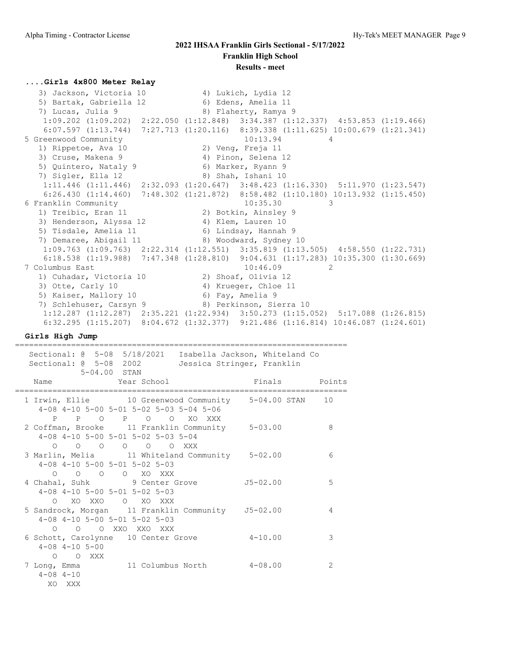#### **....Girls 4x800 Meter Relay**

 3) Jackson, Victoria 10 4) Lukich, Lydia 12 5) Bartak, Gabriella 12 (6) Edens, Amelia 11 7) Lucas, Julia 9 8) Flaherty, Ramya 9 1:09.202 (1:09.202) 2:22.050 (1:12.848) 3:34.387 (1:12.337) 4:53.853 (1:19.466) 6:07.597 (1:13.744) 7:27.713 (1:20.116) 8:39.338 (1:11.625) 10:00.679 (1:21.341) 5 Greenwood Community 10:13.94 4 1) Rippetoe, Ava 10 2) Veng, Freja 11 3) Cruse, Makena 9 (4) Pinon, Selena 12 5) Quintero, Nataly 9 6) Marker, Ryann 9 7) Sigler, Ella 12 8) Shah, Ishani 10 1:11.446 (1:11.446) 2:32.093 (1:20.647) 3:48.423 (1:16.330) 5:11.970 (1:23.547) 6:26.430 (1:14.460) 7:48.302 (1:21.872) 8:58.482 (1:10.180) 10:13.932 (1:15.450) 6 Franklin Community 10:35.30 3<br>1) Treibic, Eran 11 3 3 2) Botkin, Ainsley 9 1) Treibic, Eran 11 2) Botkin, Ainsley 9 3) Henderson, Alyssa 12 (4) Klem, Lauren 10 5) Tisdale, Amelia 11 6) Lindsay, Hannah 9 7) Demaree, Abigail 11 8) Woodward, Sydney 10 1:09.763 (1:09.763) 2:22.314 (1:12.551) 3:35.819 (1:13.505) 4:58.550 (1:22.731) 6:18.538 (1:19.988) 7:47.348 (1:28.810) 9:04.631 (1:17.283) 10:35.300 (1:30.669) 7 Columbus East 20146.09 2 1) Cuhadar, Victoria 10 2) Shoaf, Olivia 12 3) Otte, Carly 10 4) Krueger, Chloe 11 5) Kaiser, Mallory 10 (6) Fay, Amelia 9 7) Schlehuser, Carsyn 9 8) Perkinson, Sierra 10 1:12.287 (1:12.287) 2:35.221 (1:22.934) 3:50.273 (1:15.052) 5:17.088 (1:26.815) 6:32.295 (1:15.207) 8:04.672 (1:32.377) 9:21.486 (1:16.814) 10:46.087 (1:24.601)

**Girls High Jump**

=======================================================================

| Sectional: 0 5-08 5/18/2021 Isabella Jackson, Whiteland Co            |               |               |
|-----------------------------------------------------------------------|---------------|---------------|
| Sectional: 0 5-08 2002<br>Jessica Stringer, Franklin                  |               |               |
| 5-04.00 STAN                                                          |               |               |
| Year School<br>Name                                                   | Finals Points |               |
|                                                                       |               |               |
| 1 Irwin, Ellie 10 Greenwood Community 5-04.00 STAN 10                 |               |               |
| 4-08 4-10 5-00 5-01 5-02 5-03 5-04 5-06                               |               |               |
| P P O P O O XO XXX<br>2 Coffman, Brooke 11 Franklin Community 5-03.00 |               | 8             |
| 4-08 4-10 5-00 5-01 5-02 5-03 5-04                                    |               |               |
| $\begin{matrix} 0 & 0 & 0 & 0 & 0 & 0 & \text{XXX} \end{matrix}$      |               |               |
| 3 Marlin, Melia 11 Whiteland Community 5-02.00                        |               | 6             |
| $4-08$ $4-10$ $5-00$ $5-01$ $5-02$ $5-03$                             |               |               |
| O O O O XO XXX                                                        |               |               |
| 4 Chahal, Suhk 9 Center Grove                                         | J5-02.00      | 5             |
| $4-08$ $4-10$ $5-00$ $5-01$ $5-02$ $5-03$                             |               |               |
| O XO XXO O XO XXX                                                     |               |               |
| 5 Sandrock, Morgan 11 Franklin Community J5-02.00                     |               | 4             |
| $4-08$ $4-10$ $5-00$ $5-01$ $5-02$ $5-03$                             |               |               |
| O O O XXO XXO XXX                                                     |               |               |
| 6 Schott, Carolynne 10 Center Grove                                   | $4 - 10.00$   | 3             |
| $4 - 08$ $4 - 10$ $5 - 00$                                            |               |               |
| O O XXX                                                               |               |               |
| 7 Long, Emma 11 Columbus North 4-08.00                                |               | $\mathcal{L}$ |
| $4 - 08$ $4 - 10$                                                     |               |               |
| XO XXX                                                                |               |               |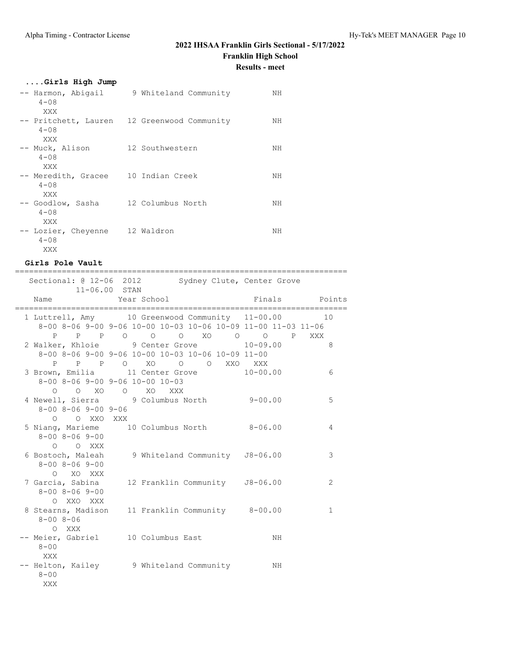# **2022 IHSAA Franklin Girls Sectional - 5/17/2022 Franklin High School**

**Results - meet**

## **....Girls High Jump**

| -- Harmon, Abigail<br>$4 - 0.8$<br>XXX  | 9 Whiteland Community                       | NН |
|-----------------------------------------|---------------------------------------------|----|
| $4 - 08$<br>XXX                         | -- Pritchett, Lauren 12 Greenwood Community | NН |
| -- Muck, Alison<br>$4 - 0.8$<br>XXX     | 12 Southwestern                             | NН |
| -- Meredith, Gracee<br>$4 - 0.8$<br>XXX | 10 Indian Creek                             | NΗ |
| -- Goodlow, Sasha<br>$4 - 0.8$<br>XXX   | 12 Columbus North                           | NН |
| -- Lozier, Cheyenne<br>$4 - 0.8$<br>XXX | 12 Waldron                                  | NН |

## **Girls Pole Vault**

|                                                                                                                                              | ============= |                                  |  |    |                |                |
|----------------------------------------------------------------------------------------------------------------------------------------------|---------------|----------------------------------|--|----|----------------|----------------|
| Sectional: @ 12-06 2012 Sydney Clute, Center Grove<br>11-06.00 STAN                                                                          |               |                                  |  |    |                |                |
| Name                                                                                                                                         |               | Year School <b>Finals</b> Points |  |    |                |                |
| 1 Luttrell, Amy 10 Greenwood Community 11-00.00<br>8-00 8-06 9-00 9-06 10-00 10-03 10-06 10-09 11-00 11-03 11-06<br>P P P O O O XO O O P XXX |               |                                  |  |    |                | 10             |
| 2 Walker, Khloie 9 Center Grove 10-09.00<br>8-00 8-06 9-00 9-06 10-00 10-03 10-06 10-09 11-00<br>P P P O XO O O XXO XXX                      |               |                                  |  |    | 8 <sup>1</sup> |                |
| 3 Brown, Emilia 11 Center Grove 10-00.00<br>8-00 8-06 9-00 9-06 10-00 10-03<br>O O XO O XO XXX                                               |               |                                  |  |    |                | 6              |
| 4 Newell, Sierra 9 Columbus North 9-00.00<br>8-00 8-06 9-00 9-06<br>O O XXO XXX                                                              |               |                                  |  |    |                | 5              |
| 5 Niang, Marieme 10 Columbus North 8-06.00<br>8-00 8-06 9-00<br>O O XXX                                                                      |               |                                  |  |    |                | 4              |
| 6 Bostoch, Maleah 9 Whiteland Community J8-06.00<br>$8 - 00$ $8 - 06$ $9 - 00$<br>O XO XXX                                                   |               |                                  |  |    |                | 3              |
| 7 Garcia, Sabina 12 Franklin Community 58-06.00<br>$8 - 00$ $8 - 06$ $9 - 00$<br>O XXO XXX                                                   |               |                                  |  |    |                | $\mathfrak{D}$ |
| 8 Stearns, Madison 11 Franklin Community 8-00.00<br>$8 - 008 - 06$<br>O XXX                                                                  |               |                                  |  |    |                | $\mathbf{1}$   |
| -- Meier, Gabriel 10 Columbus East<br>$8 - 00$<br>XXX                                                                                        |               |                                  |  | NH |                |                |
| -- Helton, Kailey 3 Whiteland Community<br>$8 - 00$<br>XXX                                                                                   |               |                                  |  | NH |                |                |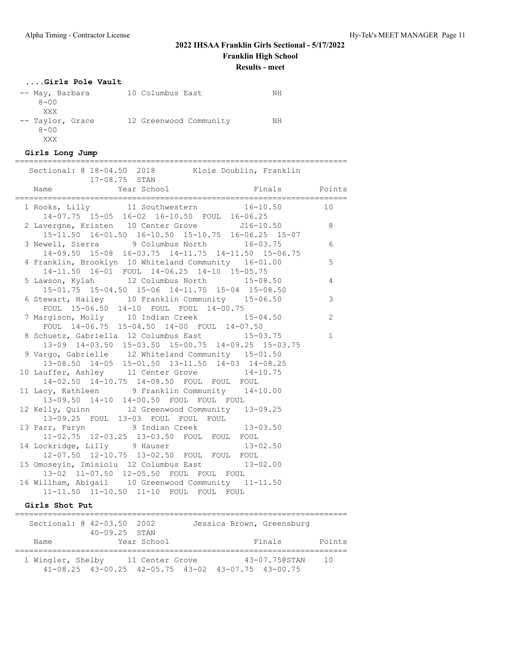# **2022 IHSAA Franklin Girls Sectional - 5/17/2022 Franklin High School**

**Results - meet**

## **....Girls Pole Vault**

| -- May, Barbara  | 10 Columbus East       | NΗ |
|------------------|------------------------|----|
| $8 - 00$         |                        |    |
| XXX              |                        |    |
| -- Taylor, Grace | 12 Greenwood Community | NΗ |
| $8 - 00$         |                        |    |
| XXX              |                        |    |

#### **Girls Long Jump**

| ===========================                                                                                                                                                                                                    |                |
|--------------------------------------------------------------------------------------------------------------------------------------------------------------------------------------------------------------------------------|----------------|
| Sectional: @ 18-04.50 2018 Kloie Doublin, Franklin<br>17-08.75 STAN                                                                                                                                                            |                |
|                                                                                                                                                                                                                                |                |
| 1 Rooks, Lilly 11 Southwestern 16-10.50<br>14-07.75 15-05 16-02 16-10.50 FOUL 16-06.25<br>2 Lavergne, Kristen 10 Center Grove 516-10.50 8<br>15-11.50 16-01.50 16-10.50 15-10.75 16-06.25 15-07<br>9 Columbus North 16-03.75 6 |                |
|                                                                                                                                                                                                                                |                |
| 14-09.50 15-08 16-03.75 14-11.75 14-11.50 15-06.75                                                                                                                                                                             |                |
| 4 Franklin, Brooklyn 10 Whiteland Community 16-01.00<br>14-11.50 16-01 FOUL 14-06.25 14-10 15-05.75                                                                                                                            | 5              |
| 5 Lawson, Kylah 12 Columbus North 15-08.50<br>15-01.75 15-04.50 15-06 14-11.75 15-04 15-08.50                                                                                                                                  | $\overline{4}$ |
| 6 Stewart, Hailey 10 Franklin Community 15-06.50<br>FOUL 15-06.50 14-10 FOUL FOUL 14-00.75                                                                                                                                     | 3              |
| 7 Margison, Molly 10 Indian Creek 15-04.50<br>FOUL 14-06.75 15-04.50 14-00 FOUL 14-07.50                                                                                                                                       | 2              |
| 8 Schuetz, Gabriella 12 Columbus East<br>$15 - 03.75$<br>13-09 14-03.50 15-03.50 15-00.75 14-09.25 15-03.75                                                                                                                    | $\mathbf{1}$   |
| 9 Vargo, Gabrielle 12 Whiteland Community 15-01.50<br>13-08.50 14-05 15-01.50 13-11.50 14-03 14-08.25                                                                                                                          |                |
| 10 Lauffer, Ashley 11 Center Grove 14-10.75<br>14-02.50 14-10.75 14-08.50 FOUL FOUL FOUL                                                                                                                                       |                |
| 11 Lacy, Kathleen 9 Franklin Community 14-10.00<br>13-09.50 14-10 14-00.50 FOUL FOUL FOUL                                                                                                                                      |                |
| 12 Kelly, Quinn 12 Greenwood Community 13-09.25<br>13-09.25 FOUL 13-03 FOUL FOUL FOUL                                                                                                                                          |                |
| 13 Parr, Faryn 9 Indian Creek 13-03.50<br>11-02.75 12-03.25 13-03.50 FOUL FOUL FOUL                                                                                                                                            |                |
| 14 Lockridge, Lilly 9 Hauser 13-02.50<br>12-07.50 12-10.75 13-02.50 FOUL FOUL FOUL                                                                                                                                             |                |
| 15 Omoseyin, Imisiolu 12 Columbus East 13-02.00<br>13-02 11-07.50 12-05.50 FOUL FOUL FOUL                                                                                                                                      |                |
| 16 Willham, Abigail 10 Greenwood Community 11-11.50<br>11-11.50 11-10.50 11-10 FOUL FOUL FOUL                                                                                                                                  |                |

### **Girls Shot Put**

|                   | Sectional: @ 42-03.50 2002<br>$40 - 09.25$ STAN                |                 |  | Jessica Brown, Greensburg |        |
|-------------------|----------------------------------------------------------------|-----------------|--|---------------------------|--------|
| Name              |                                                                | Year School     |  | Finals                    | Points |
| 1 Wingler, Shelby | $41-08.25$ $43-00.25$ $42-05.75$ $43-02$ $43-07.75$ $43-00.75$ | 11 Center Grove |  | 43-07.750STAN             | 10     |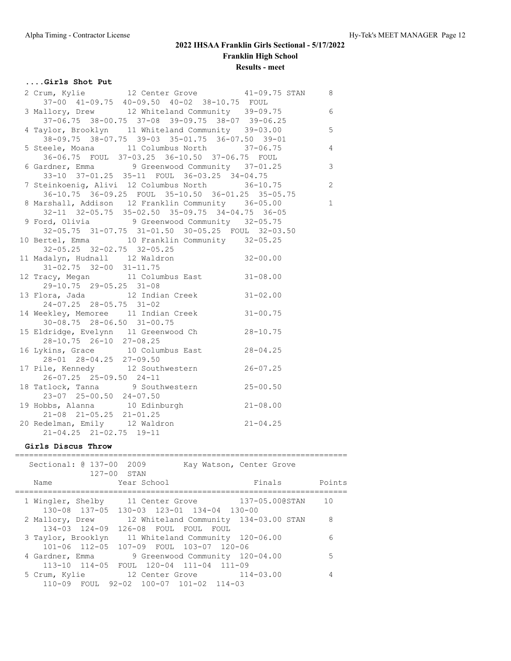# **....Girls Shot Put**

| 2 Crum, Kylie 12 Center Grove 41-09.75 STAN 8                                                                                          |                          |              |
|----------------------------------------------------------------------------------------------------------------------------------------|--------------------------|--------------|
| 37-00 41-09.75 40-09.50 40-02 38-10.75 FOUL                                                                                            |                          |              |
| 3 Mallory, Drew 12 Whiteland Community 39-09.75 6                                                                                      |                          |              |
| 37-06.75 38-00.75 37-08 39-09.75 38-07 39-06.25                                                                                        |                          |              |
| 4 Taylor, Brooklyn 11 Whiteland Community 39-03.00                                                                                     | $\overline{5}$           |              |
| 38-09.75 38-07.75 39-03 35-01.75 36-07.50 39-01                                                                                        |                          |              |
| 5 Steele, Moana 11 Columbus North 37-06.75                                                                                             | $\overline{4}$           |              |
| 36-06.75 FOUL 37-03.25 36-10.50 37-06.75 FOUL                                                                                          |                          |              |
| 6 Gardner, Emma 9 Greenwood Community 37-01.25                                                                                         |                          |              |
| 33-10 37-01.25 35-11 FOUL 36-03.25 34-04.75                                                                                            |                          |              |
| 7 Steinkoenig, Alivi 12 Columbus North 36-10.75                                                                                        | $\overline{\phantom{0}}$ |              |
| 36-10.75 36-09.25 FOUL 35-10.50 36-01.25 35-05.75                                                                                      |                          |              |
| 8 Marshall, Addison 12 Franklin Community 36-05.00                                                                                     |                          | $\mathbf{1}$ |
| 32-11 32-05.75 35-02.50 35-09.75 34-04.75 36-05                                                                                        |                          |              |
| 9 Ford, Olivia 9 Greenwood Community 32-05.75                                                                                          |                          |              |
| 32-05.75 31-07.75 31-01.50 30-05.25 FOUL 32-03.50                                                                                      |                          |              |
| 10 Bertel, Emma 10 Franklin Community 32-05.25                                                                                         |                          |              |
| 32-05.25 32-02.75 32-05.25                                                                                                             |                          |              |
| 11 Madalyn, Hudnall 12 Waldron 32-00.00                                                                                                |                          |              |
| $31-02.75$ $32-00$ $31-11.75$                                                                                                          |                          |              |
| 12 Tracy, Megan 11 Columbus East 31-08.00                                                                                              |                          |              |
| 29-10.75 29-05.25 31-08                                                                                                                |                          |              |
| 13 Flora, Jada 12 Indian Creek 31-02.00                                                                                                |                          |              |
| 24-07.25 28-05.75 31-02                                                                                                                |                          |              |
| 14 Weekley, Memoree 11 Indian Creek 31-00.75                                                                                           |                          |              |
| $30 - 08.75$ 28-06.50 31-00.75                                                                                                         |                          |              |
| 15 Eldridge, Evelynn 11 Greenwood Ch 28-10.75                                                                                          |                          |              |
| 28-10.75 26-10 27-08.25                                                                                                                |                          |              |
| 16 Lykins, Grace 10 Columbus East 28-04.25                                                                                             |                          |              |
| 28-01 28-04.25 27-09.50                                                                                                                |                          |              |
| 17 Pile, Kennedy 12 Southwestern 26-07.25                                                                                              |                          |              |
| $26 - 07.25$ 25-09.50 24-11                                                                                                            |                          |              |
| 18 Tatlock, Tanna 9 Southwestern 25-00.50<br>23-07 25-00.50 24-07.50                                                                   |                          |              |
|                                                                                                                                        |                          |              |
|                                                                                                                                        |                          |              |
| 19 Hobbs, Alanna 10 Edinburgh 21-08.00<br>21-08 21-05.25 21-01.25<br>21-08 21-05.25 21-01.25<br>20 Redelman, Emily 12 Waldron 21-04.25 |                          |              |
|                                                                                                                                        |                          |              |
| 21-04.25 21-02.75 19-11                                                                                                                |                          |              |

# **Girls Discus Throw**

|                    | Sectional: @ 137-00<br>$127-00$ STAN     | 2009                                                                                        |                                 | Kay Watson, Center Grove                         |        |
|--------------------|------------------------------------------|---------------------------------------------------------------------------------------------|---------------------------------|--------------------------------------------------|--------|
| Name               |                                          | Year School                                                                                 |                                 | Finals                                           | Points |
|                    |                                          | 130-08 137-05 130-03 123-01 134-04 130-00                                                   |                                 | 1 Wingler, Shelby 11 Center Grove 137-05.000STAN | 10     |
|                    | 2 Mallory, Drew<br>$134 - 03$ $124 - 09$ | 126-08 FOUL FOUL                                                                            | FOUL                            | 12 Whiteland Community 134-03.00 STAN            | 8      |
| 3 Taylor, Brooklyn |                                          | 11 Whiteland Community 120-06.00<br>101-06 112-05 107-09 FOUL 103-07 120-06                 |                                 |                                                  | 6      |
| 4 Gardner, Emma    | $113 - 10$ $114 - 05$                    | FOUL 120-04 111-04 111-09                                                                   | 9 Greenwood Community 120-04.00 |                                                  | 5      |
|                    |                                          | 5 Crum, Kylie 12 Center Grove 114-03.00<br>$110-09$ FOUL $92-02$ $100-07$ $101-02$ $114-03$ |                                 |                                                  |        |